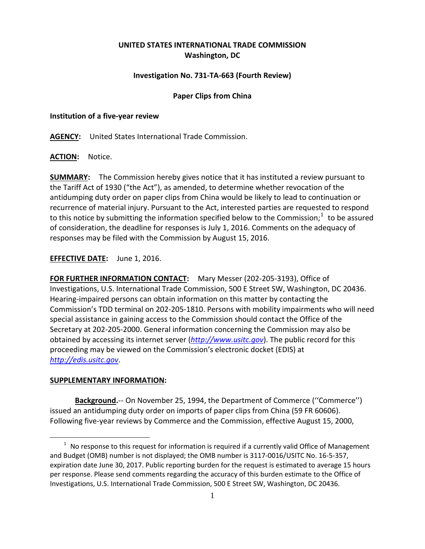# **UNITED STATES INTERNATIONAL TRADE COMMISSION Washington, DC**

## **Investigation No. 731-TA-663 (Fourth Review)**

### **Paper Clips from China**

#### **Institution of a five-year review**

**AGENCY:** United States International Trade Commission.

**ACTION:** Notice.

**SUMMARY:** The Commission hereby gives notice that it has instituted a review pursuant to the Tariff Act of 1930 ("the Act"), as amended, to determine whether revocation of the antidumping duty order on paper clips from China would be likely to lead to continuation or recurrence of material injury. Pursuant to the Act, interested parties are requested to respond to this notice by submitting the information specified below to the Commission;<sup>[1](#page-0-0)</sup> to be assured of consideration, the deadline for responses is July 1, 2016. Comments on the adequacy of responses may be filed with the Commission by August 15, 2016.

**EFFECTIVE DATE:** June 1, 2016.

**FOR FURTHER INFORMATION CONTACT:** Mary Messer (202-205-3193), Office of Investigations, U.S. International Trade Commission, 500 E Street SW, Washington, DC 20436. Hearing-impaired persons can obtain information on this matter by contacting the Commission's TDD terminal on 202-205-1810. Persons with mobility impairments who will need special assistance in gaining access to the Commission should contact the Office of the Secretary at 202-205-2000. General information concerning the Commission may also be obtained by accessing its internet server (*[http://www.usitc.gov](http://www.usitc.gov/)*). The public record for this proceeding may be viewed on the Commission's electronic docket (EDIS) at *[http://edis.usitc.gov](http://edis.usitc.gov/)*.

### **SUPPLEMENTARY INFORMATION:**

 $\overline{a}$ 

**Background.**-- On November 25, 1994, the Department of Commerce (''Commerce'') issued an antidumping duty order on imports of paper clips from China (59 FR 60606). Following five-year reviews by Commerce and the Commission, effective August 15, 2000,

<span id="page-0-0"></span> $1$  No response to this request for information is required if a currently valid Office of Management and Budget (OMB) number is not displayed; the OMB number is 3117-0016/USITC No. 16-5-357, expiration date June 30, 2017. Public reporting burden for the request is estimated to average 15 hours per response. Please send comments regarding the accuracy of this burden estimate to the Office of Investigations, U.S. International Trade Commission, 500 E Street SW, Washington, DC 20436.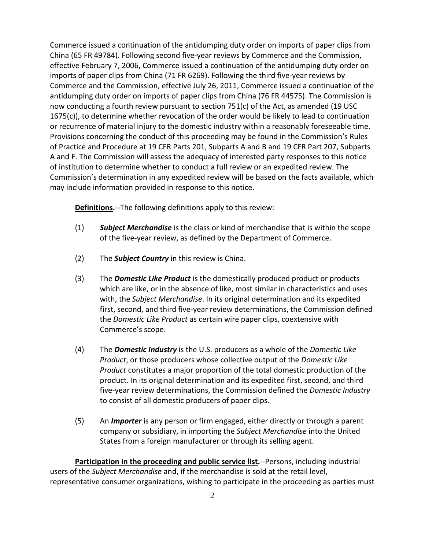Commerce issued a continuation of the antidumping duty order on imports of paper clips from China (65 FR 49784). Following second five-year reviews by Commerce and the Commission, effective February 7, 2006, Commerce issued a continuation of the antidumping duty order on imports of paper clips from China (71 FR 6269). Following the third five-year reviews by Commerce and the Commission, effective July 26, 2011, Commerce issued a continuation of the antidumping duty order on imports of paper clips from China (76 FR 44575). The Commission is now conducting a fourth review pursuant to section 751(c) of the Act, as amended (19 USC 1675(c)), to determine whether revocation of the order would be likely to lead to continuation or recurrence of material injury to the domestic industry within a reasonably foreseeable time. Provisions concerning the conduct of this proceeding may be found in the Commission's Rules of Practice and Procedure at 19 CFR Parts 201, Subparts A and B and 19 CFR Part 207, Subparts A and F. The Commission will assess the adequacy of interested party responses to this notice of institution to determine whether to conduct a full review or an expedited review. The Commission's determination in any expedited review will be based on the facts available, which may include information provided in response to this notice.

**Definitions.**--The following definitions apply to this review:

- (1) *Subject Merchandise* is the class or kind of merchandise that is within the scope of the five-year review, as defined by the Department of Commerce.
- (2) The *Subject Country* in this review is China.
- (3) The *Domestic Like Product* is the domestically produced product or products which are like, or in the absence of like, most similar in characteristics and uses with, the *Subject Merchandise*. In its original determination and its expedited first, second, and third five-year review determinations, the Commission defined the *Domestic Like Product* as certain wire paper clips, coextensive with Commerce's scope.
- (4) The *Domestic Industry* is the U.S. producers as a whole of the *Domestic Like Product*, or those producers whose collective output of the *Domestic Like Product* constitutes a major proportion of the total domestic production of the product. In its original determination and its expedited first, second, and third five-year review determinations, the Commission defined the *Domestic Industry*  to consist of all domestic producers of paper clips.
- (5) An *Importer* is any person or firm engaged, either directly or through a parent company or subsidiary, in importing the *Subject Merchandise* into the United States from a foreign manufacturer or through its selling agent.

**Participation in the proceeding and public service list.**--Persons, including industrial users of the *Subject Merchandise* and, if the merchandise is sold at the retail level, representative consumer organizations, wishing to participate in the proceeding as parties must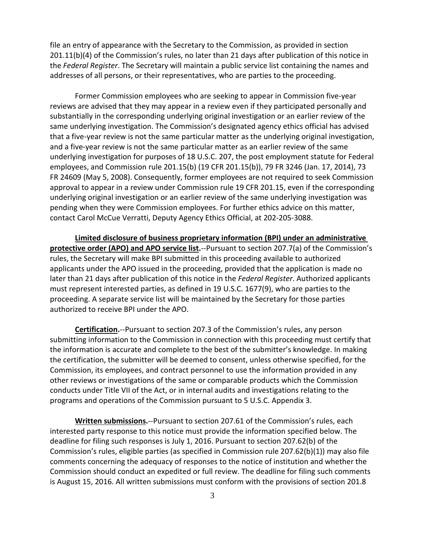file an entry of appearance with the Secretary to the Commission, as provided in section 201.11(b)(4) of the Commission's rules, no later than 21 days after publication of this notice in the *Federal Register*. The Secretary will maintain a public service list containing the names and addresses of all persons, or their representatives, who are parties to the proceeding.

Former Commission employees who are seeking to appear in Commission five-year reviews are advised that they may appear in a review even if they participated personally and substantially in the corresponding underlying original investigation or an earlier review of the same underlying investigation. The Commission's designated agency ethics official has advised that a five-year review is not the same particular matter as the underlying original investigation, and a five-year review is not the same particular matter as an earlier review of the same underlying investigation for purposes of 18 U.S.C. 207, the post employment statute for Federal employees, and Commission rule 201.15(b) (19 CFR 201.15(b)), 79 FR 3246 (Jan. 17, 2014), 73 FR 24609 (May 5, 2008). Consequently, former employees are not required to seek Commission approval to appear in a review under Commission rule 19 CFR 201.15, even if the corresponding underlying original investigation or an earlier review of the same underlying investigation was pending when they were Commission employees. For further ethics advice on this matter, contact Carol McCue Verratti, Deputy Agency Ethics Official, at 202-205-3088.

**Limited disclosure of business proprietary information (BPI) under an administrative protective order (APO) and APO service list.**--Pursuant to section 207.7(a) of the Commission's rules, the Secretary will make BPI submitted in this proceeding available to authorized applicants under the APO issued in the proceeding, provided that the application is made no later than 21 days after publication of this notice in the *Federal Register*. Authorized applicants must represent interested parties, as defined in 19 U.S.C. 1677(9), who are parties to the proceeding. A separate service list will be maintained by the Secretary for those parties authorized to receive BPI under the APO.

**Certification.**--Pursuant to section 207.3 of the Commission's rules, any person submitting information to the Commission in connection with this proceeding must certify that the information is accurate and complete to the best of the submitter's knowledge. In making the certification, the submitter will be deemed to consent, unless otherwise specified, for the Commission, its employees, and contract personnel to use the information provided in any other reviews or investigations of the same or comparable products which the Commission conducts under Title VII of the Act, or in internal audits and investigations relating to the programs and operations of the Commission pursuant to 5 U.S.C. Appendix 3.

**Written submissions.**--Pursuant to section 207.61 of the Commission's rules, each interested party response to this notice must provide the information specified below. The deadline for filing such responses is July 1, 2016. Pursuant to section 207.62(b) of the Commission's rules, eligible parties (as specified in Commission rule 207.62(b)(1)) may also file comments concerning the adequacy of responses to the notice of institution and whether the Commission should conduct an expedited or full review. The deadline for filing such comments is August 15, 2016. All written submissions must conform with the provisions of section 201.8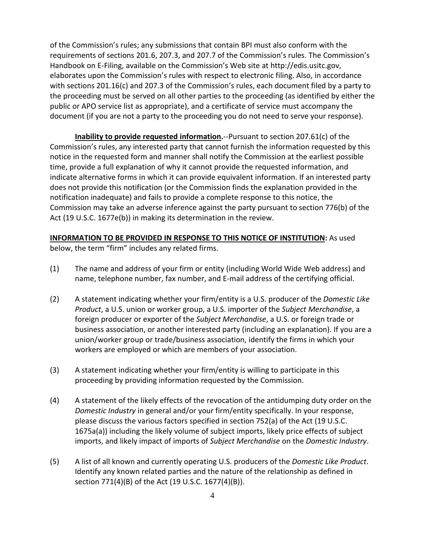of the Commission's rules; any submissions that contain BPI must also conform with the requirements of sections 201.6, 207.3, and 207.7 of the Commission's rules. The Commission's Handbook on E-Filing, available on the Commission's Web site at http://edis.usitc.gov, elaborates upon the Commission's rules with respect to electronic filing. Also, in accordance with sections 201.16(c) and 207.3 of the Commission's rules, each document filed by a party to the proceeding must be served on all other parties to the proceeding (as identified by either the public or APO service list as appropriate), and a certificate of service must accompany the document (if you are not a party to the proceeding you do not need to serve your response).

**Inability to provide requested information.**--Pursuant to section 207.61(c) of the Commission's rules, any interested party that cannot furnish the information requested by this notice in the requested form and manner shall notify the Commission at the earliest possible time, provide a full explanation of why it cannot provide the requested information, and indicate alternative forms in which it can provide equivalent information. If an interested party does not provide this notification (or the Commission finds the explanation provided in the notification inadequate) and fails to provide a complete response to this notice, the Commission may take an adverse inference against the party pursuant to section 776(b) of the Act (19 U.S.C. 1677e(b)) in making its determination in the review.

## **INFORMATION TO BE PROVIDED IN RESPONSE TO THIS NOTICE OF INSTITUTION:** As used

below, the term "firm" includes any related firms.

- (1) The name and address of your firm or entity (including World Wide Web address) and name, telephone number, fax number, and E-mail address of the certifying official.
- (2) A statement indicating whether your firm/entity is a U.S. producer of the *Domestic Like Product*, a U.S. union or worker group, a U.S. importer of the *Subject Merchandise*, a foreign producer or exporter of the *Subject Merchandise*, a U.S. or foreign trade or business association, or another interested party (including an explanation). If you are a union/worker group or trade/business association, identify the firms in which your workers are employed or which are members of your association.
- (3) A statement indicating whether your firm/entity is willing to participate in this proceeding by providing information requested by the Commission.
- (4) A statement of the likely effects of the revocation of the antidumping duty order on the *Domestic Industry* in general and/or your firm/entity specifically. In your response, please discuss the various factors specified in section 752(a) of the Act (19 U.S.C. 1675a(a)) including the likely volume of subject imports, likely price effects of subject imports, and likely impact of imports of *Subject Merchandise* on the *Domestic Industry*.
- (5) A list of all known and currently operating U.S. producers of the *Domestic Like Product*. Identify any known related parties and the nature of the relationship as defined in section 771(4)(B) of the Act (19 U.S.C. 1677(4)(B)).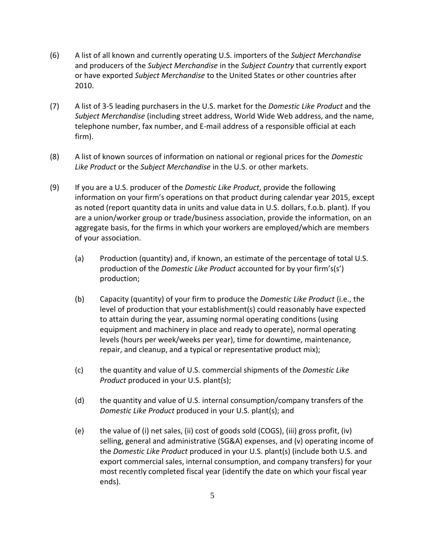- (6) A list of all known and currently operating U.S. importers of the *Subject Merchandise* and producers of the *Subject Merchandise* in the *Subject Country* that currently export or have exported *Subject Merchandise* to the United States or other countries after 2010.
- (7) A list of 3-5 leading purchasers in the U.S. market for the *Domestic Like Product* and the *Subject Merchandise* (including street address, World Wide Web address, and the name, telephone number, fax number, and E-mail address of a responsible official at each firm).
- (8) A list of known sources of information on national or regional prices for the *Domestic Like Product* or the *Subject Merchandise* in the U.S. or other markets.
- (9) If you are a U.S. producer of the *Domestic Like Product*, provide the following information on your firm's operations on that product during calendar year 2015, except as noted (report quantity data in units and value data in U.S. dollars, f.o.b. plant). If you are a union/worker group or trade/business association, provide the information, on an aggregate basis, for the firms in which your workers are employed/which are members of your association.
	- (a) Production (quantity) and, if known, an estimate of the percentage of total U.S. production of the *Domestic Like Product* accounted for by your firm's(s') production;
	- (b) Capacity (quantity) of your firm to produce the *Domestic Like Product* (i.e., the level of production that your establishment(s) could reasonably have expected to attain during the year, assuming normal operating conditions (using equipment and machinery in place and ready to operate), normal operating levels (hours per week/weeks per year), time for downtime, maintenance, repair, and cleanup, and a typical or representative product mix);
	- (c) the quantity and value of U.S. commercial shipments of the *Domestic Like Product* produced in your U.S. plant(s);
	- (d) the quantity and value of U.S. internal consumption/company transfers of the *Domestic Like Product* produced in your U.S. plant(s); and
	- (e) the value of (i) net sales, (ii) cost of goods sold (COGS), (iii) gross profit, (iv) selling, general and administrative (SG&A) expenses, and (v) operating income of the *Domestic Like Product* produced in your U.S. plant(s) (include both U.S. and export commercial sales, internal consumption, and company transfers) for your most recently completed fiscal year (identify the date on which your fiscal year ends).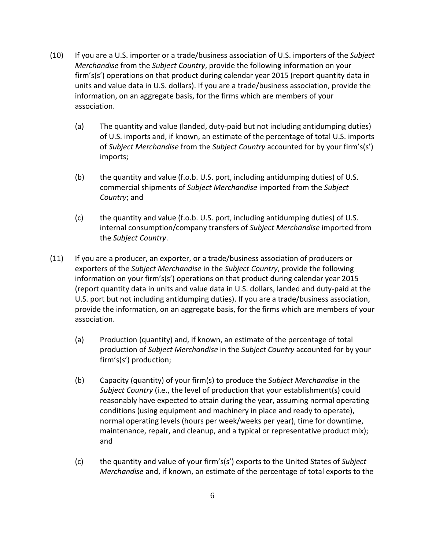- (10) If you are a U.S. importer or a trade/business association of U.S. importers of the *Subject Merchandise* from the *Subject Country*, provide the following information on your firm's(s') operations on that product during calendar year 2015 (report quantity data in units and value data in U.S. dollars). If you are a trade/business association, provide the information, on an aggregate basis, for the firms which are members of your association.
	- (a) The quantity and value (landed, duty-paid but not including antidumping duties) of U.S. imports and, if known, an estimate of the percentage of total U.S. imports of *Subject Merchandise* from the *Subject Country* accounted for by your firm's(s') imports;
	- (b) the quantity and value (f.o.b. U.S. port, including antidumping duties) of U.S. commercial shipments of *Subject Merchandise* imported from the *Subject Country*; and
	- (c) the quantity and value (f.o.b. U.S. port, including antidumping duties) of U.S. internal consumption/company transfers of *Subject Merchandise* imported from the *Subject Country*.
- (11) If you are a producer, an exporter, or a trade/business association of producers or exporters of the *Subject Merchandise* in the *Subject Country*, provide the following information on your firm's(s') operations on that product during calendar year 2015 (report quantity data in units and value data in U.S. dollars, landed and duty-paid at the U.S. port but not including antidumping duties). If you are a trade/business association, provide the information, on an aggregate basis, for the firms which are members of your association.
	- (a) Production (quantity) and, if known, an estimate of the percentage of total production of *Subject Merchandise* in the *Subject Country* accounted for by your firm's(s') production;
	- (b) Capacity (quantity) of your firm(s) to produce the *Subject Merchandise* in the *Subject Country* (i.e., the level of production that your establishment(s) could reasonably have expected to attain during the year, assuming normal operating conditions (using equipment and machinery in place and ready to operate), normal operating levels (hours per week/weeks per year), time for downtime, maintenance, repair, and cleanup, and a typical or representative product mix); and
	- (c) the quantity and value of your firm's(s') exports to the United States of *Subject Merchandise* and, if known, an estimate of the percentage of total exports to the